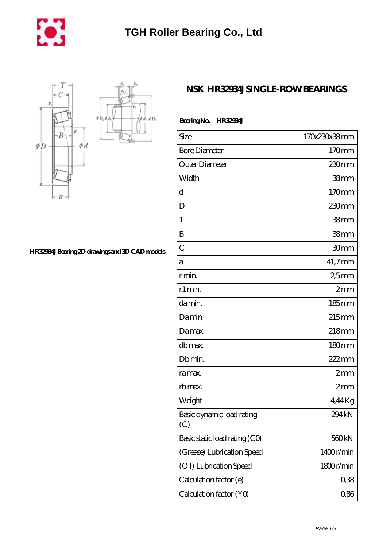

 $\phi$ d,  $\phi$ D<sub>b</sub>



**[HR32934J Bearing 2D drawings and 3D CAD models](https://m.mywebsitenews.com/pic-13547.html)**

## **[NSK HR32934J SINGLE-ROW BEARINGS](https://m.mywebsitenews.com/ar-13547-nsk-hr32934j-single-row-bearings.html)**

| Size                             | 170x230x38mm      |
|----------------------------------|-------------------|
| <b>Bore Diameter</b>             | 170mm             |
| Outer Diameter                   | 230mm             |
| Width                            | 38 <sub>mm</sub>  |
| d                                | 170mm             |
| D                                | 230mm             |
| T                                | 38 <sub>mm</sub>  |
| B                                | 38 <sub>mm</sub>  |
| $\overline{C}$                   | 30mm              |
| a                                | 41,7mm            |
| r min.                           | 25 <sub>mm</sub>  |
| r1 min.                          | 2mm               |
| da min.                          | 185mm             |
| Damin                            | $215$ mm          |
| Damax.                           | 218mm             |
| db max.                          | 180mm             |
| Db min.                          | 222mm             |
| ra max.                          | 2mm               |
| rb max.                          | 2mm               |
| Weight                           | 4,44Kg            |
| Basic dynamic load rating<br>(C) | 294 <sub>kN</sub> |
| Basic static load rating (CO)    | 560 <sub>kN</sub> |
| (Grease) Lubrication Speed       | 1400r/min         |
| (Oil) Lubrication Speed          | 1800r/min         |
| Calculation factor (e)           | 0,38              |
| Calculation factor (YO)          | 0,86              |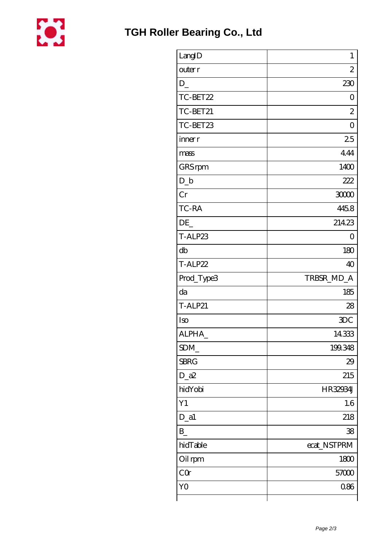

| LangID         | $\mathbf{1}$   |
|----------------|----------------|
| outer r        | $\overline{c}$ |
| $D_{-}$        | 230            |
| TC-BET22       | $\overline{O}$ |
| TC-BET21       | $\overline{c}$ |
| TC-BET23       | $\overline{O}$ |
| inner r        | 25             |
| mass           | 444            |
| GRS rpm        | 1400           |
| $D_{-}b$       | 222            |
| Cr             | 30000          |
| TC-RA          | 4458           |
| DE             | 21423          |
| T-ALP23        | 0              |
| db             | 180            |
| T-ALP22        | 40             |
| Prod_Type3     | TRBSR_MD_A     |
| da             | 185            |
| <b>T-ALP21</b> | 28             |
| Iso            | <b>3DC</b>     |
| ALPHA          | 14333          |
| SDM_           | 199.348        |
| <b>SBRG</b>    | 29             |
| $D_2a2$        | 215            |
| hidYobi        | HR32934J       |
| Y1             | 1.6            |
| $D_a1$         | 218            |
| $B_{-}$        | 38             |
| hidTable       | ecat_NSTPRM    |
| Oil rpm        | 1800           |
| CQ             | 57000          |
| YO             | 0.86           |
|                |                |